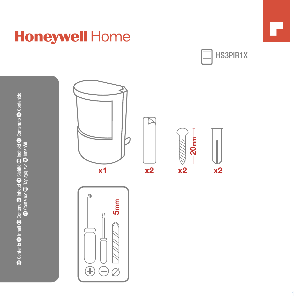© Contents © Inhalt © Contenu © Inhout ⊙ Sisättö © Indholt © Contenuto © Contenido<br>© Conteido © Inspecification © Inspecifial **B Contents O Inhalt C Contenu O Inhoud O Sisältö O Indhold O Contenuto E Contenido D** Conteúdo **G**D Περιεχόμενα G Innehåll

## **Honeywell Home**

 $\bigoplus$  $\ominus$ Ø





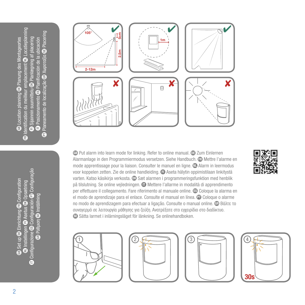$\overline{\bm{v}}$  Identification du meilleur emplacement  $\overline{\bm{w}}$  Locatieplanning  $\blacksquare$  Planeamento de localização  $\blacksquare$  Χωροταξία  $\blacksquare$  Placering GB Location planning DE Planung des Montageortes **D** Sijainnin suunnittelu CD Planlægning af placering IT Posizionamento ES Planificación de la ubicación ontageorte m locati E **B** Location planning **C** cation du Æ Ē



GB Put alarm into learn mode for linking. Refer to online manual. DE Zum Einlernen Alarmanlage in den Programmiermodus versetzen. Siehe Handbuch. **ED** Mettre l'alarme en mode apprentissage pour la liaison. Consulter le manuel en ligne. **(D)** Alarm in leermodus voor koppelen zetten. Zie de online handleiding. @ Aseta hälytin oppimistilaan linkitystä varten. Katso käsikirja verkosta. **D** Sæt alarmen i programmeringsfunktion med henblik på tilslutning. Se online vejledningen.  $\blacksquare$  Mettere l'allarme in modalità di apprendimento per effettuare il collegamento. Fare riferimento al manuale online. ES Coloque la alarma en el modo de aprendizaje para el enlace. Consulte el manual en línea. <sup>co</sup> Coloque o alarme no modo de aprendizagem para efectuar a ligação. Consulte o manual online. **GD** Βάλτε το συναγερμό σε λειτουργία μάθησης για ζεύξη. Ανατρέξατε στο εγχειρίδιο στο διαδίκτυο. SE Sätta larmet i inlärningsläget för länkning. Se onlinehandboken.











**B** Set up **D** Einrichtung **D** Configuration D Instellingen **D** Asetus QD Opsætning  $\blacksquare$  Configurazione  $\clubsuit$  Configuración  $\clubsuit$  Configuração **Φ** Ρύθμιση **SE** Inställning

**B** Set up **Q** Einrich

**Ta Pieliq** zione

Ē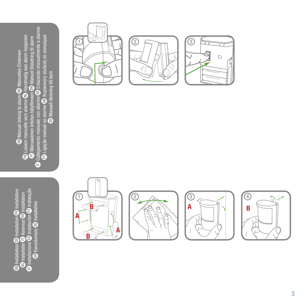stalação **D** Installazione  $\mathbb{E}$  Instalación  $\mathbb{E}$  Instalação GB Installation **QB** Installation GB Installation stallation nstallation NL Installatie FI Asennus DK Installation GR γκατάσταση SE Installation allation Ē Ē ē GF)  $\mathbf{\Phi}$  Eykatáotaon ٢£ nstallazione nstallation  $\blacksquare$  Installatie  $\bar{\epsilon}$ Ē

 $\blacksquare$  Collegamento manuale con allarme  $\clubsuit$  Enlazando manualmente a alarma ento manuale con allame  $\bigoplus$  Enlazando manualmente a alarma  $\bigoplus$  Collegamento manuale con allame  $\bigoplus$  Enlazardo manualmente a alar $\bigoplus$  Ligação manual ao alame  $\bigoplus$  Xapokivmp quivõe que ouvoreppó  $\bigoplus$  Ligação manual ao alame  $\bigoplus$  Xapokivmp quivõe que ouvoreppó  $\mathbb B$  Liaison manuelle vers alarme  $\mathbb U$  Handmatig aan alarm koppelen  $\bm{v}$  Ligação manual ao alarme  $\bm{\mathbb{G}}$  Χειροκίνητη σύνδεση σε συναγερμό  $\mathbf F$  Manuaalinen linkitys hälyttimeen  $\mathbf G$  Manuel tilslutning til alarm  $\oplus$  Liaison manuelle vers alame  $\oplus$  Handmatig aan alarm koppel GB Manual linking to alarm DE Manuelles Einlernen **D** Manuelles Einlernen SE Manuell länkning till larm **@** Manual linking to alarm